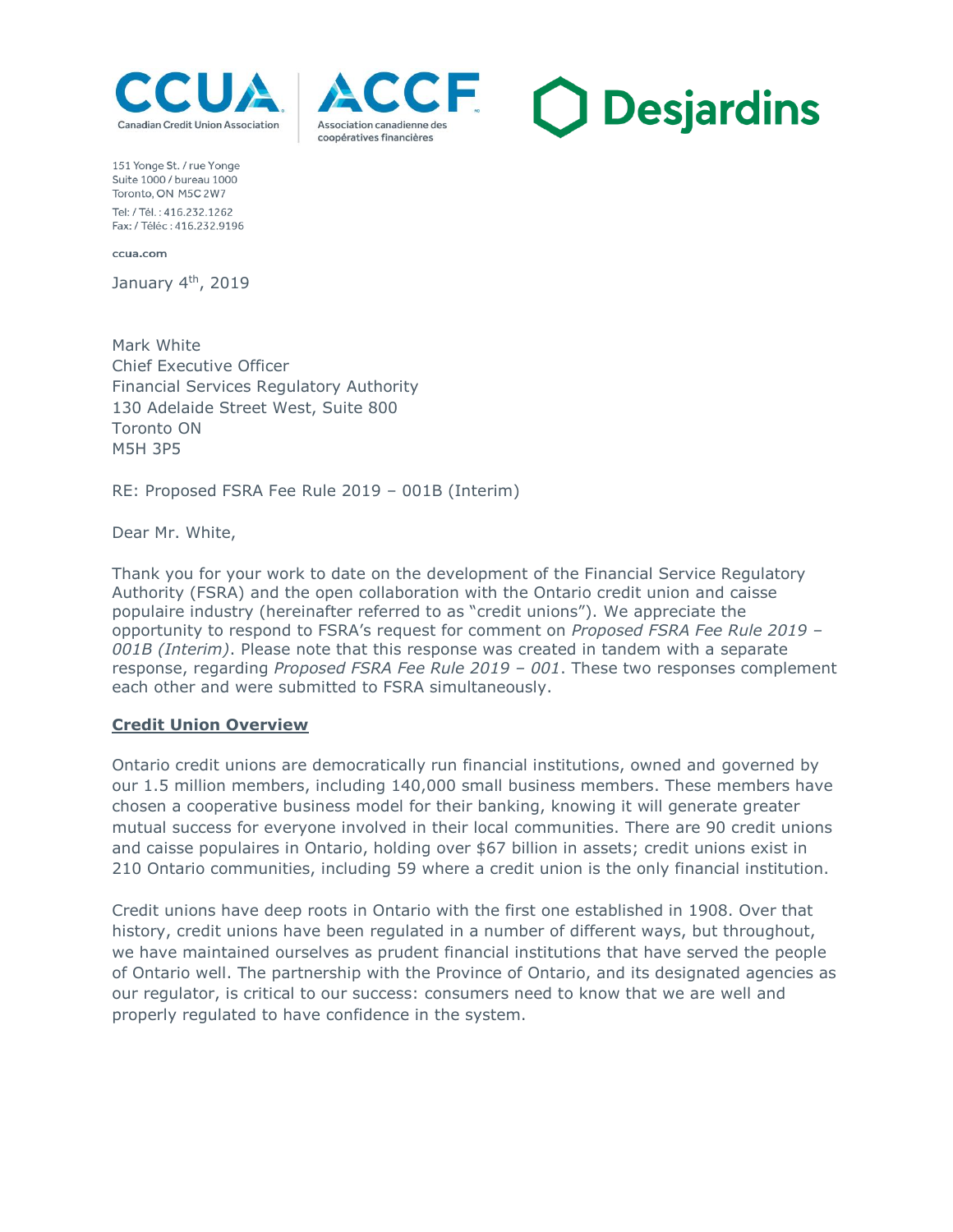





151 Yonge St. / rue Yonge Suite 1000 / bureau 1000 Toronto, ON M5C 2W7 Tel: / Tél : 416 232 1262 Fax: / Téléc: 416.232.9196

ccua.com

January 4<sup>th</sup>, 2019

Mark White Chief Executive Officer Financial Services Regulatory Authority 130 Adelaide Street West, Suite 800 Toronto ON M5H 3P5

RE: Proposed FSRA Fee Rule 2019 – 001B (Interim)

Dear Mr. White,

Thank you for your work to date on the development of the Financial Service Regulatory Authority (FSRA) and the open collaboration with the Ontario credit union and caisse populaire industry (hereinafter referred to as "credit unions"). We appreciate the opportunity to respond to FSRA's request for comment on *Proposed FSRA Fee Rule 2019 – 001B (Interim)*. Please note that this response was created in tandem with a separate response, regarding *Proposed FSRA Fee Rule 2019 – 001*. These two responses complement each other and were submitted to FSRA simultaneously.

## **Credit Union Overview**

Ontario credit unions are democratically run financial institutions, owned and governed by our 1.5 million members, including 140,000 small business members. These members have chosen a cooperative business model for their banking, knowing it will generate greater mutual success for everyone involved in their local communities. There are 90 credit unions and caisse populaires in Ontario, holding over \$67 billion in assets; credit unions exist in 210 Ontario communities, including 59 where a credit union is the only financial institution.

Credit unions have deep roots in Ontario with the first one established in 1908. Over that history, credit unions have been regulated in a number of different ways, but throughout, we have maintained ourselves as prudent financial institutions that have served the people of Ontario well. The partnership with the Province of Ontario, and its designated agencies as our regulator, is critical to our success: consumers need to know that we are well and properly regulated to have confidence in the system.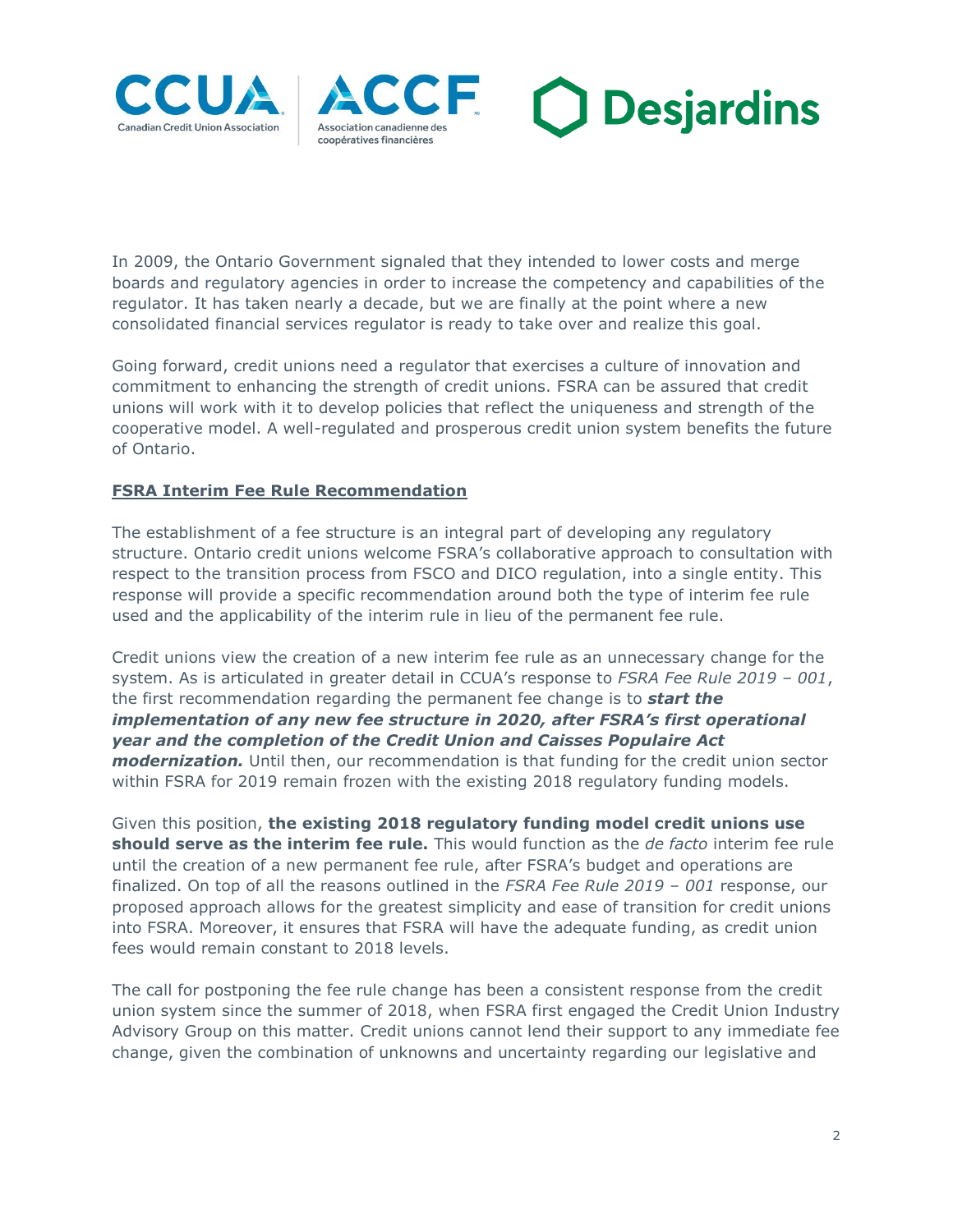





In 2009, the Ontario Government signaled that they intended to lower costs and merge boards and regulatory agencies in order to increase the competency and capabilities of the regulator. It has taken nearly a decade, but we are finally at the point where a new consolidated financial services regulator is ready to take over and realize this goal.

Going forward, credit unions need a regulator that exercises a culture of innovation and commitment to enhancing the strength of credit unions. FSRA can be assured that credit unions will work with it to develop policies that reflect the uniqueness and strength of the cooperative model. A well-regulated and prosperous credit union system benefits the future of Ontario.

# **FSRA Interim Fee Rule Recommendation**

The establishment of a fee structure is an integral part of developing any regulatory structure. Ontario credit unions welcome FSRA's collaborative approach to consultation with respect to the transition process from FSCO and DICO regulation, into a single entity. This response will provide a specific recommendation around both the type of interim fee rule used and the applicability of the interim rule in lieu of the permanent fee rule.

Credit unions view the creation of a new interim fee rule as an unnecessary change for the system. As is articulated in greater detail in CCUA's response to *FSRA Fee Rule 2019 – 001*, the first recommendation regarding the permanent fee change is to *start the implementation of any new fee structure in 2020, after FSRA's first operational year and the completion of the Credit Union and Caisses Populaire Act modernization.* Until then, our recommendation is that funding for the credit union sector within FSRA for 2019 remain frozen with the existing 2018 regulatory funding models.

Given this position, **the existing 2018 regulatory funding model credit unions use should serve as the interim fee rule.** This would function as the *de facto* interim fee rule until the creation of a new permanent fee rule, after FSRA's budget and operations are finalized. On top of all the reasons outlined in the *FSRA Fee Rule 2019 – 001* response, our proposed approach allows for the greatest simplicity and ease of transition for credit unions into FSRA. Moreover, it ensures that FSRA will have the adequate funding, as credit union fees would remain constant to 2018 levels.

The call for postponing the fee rule change has been a consistent response from the credit union system since the summer of 2018, when FSRA first engaged the Credit Union Industry Advisory Group on this matter. Credit unions cannot lend their support to any immediate fee change, given the combination of unknowns and uncertainty regarding our legislative and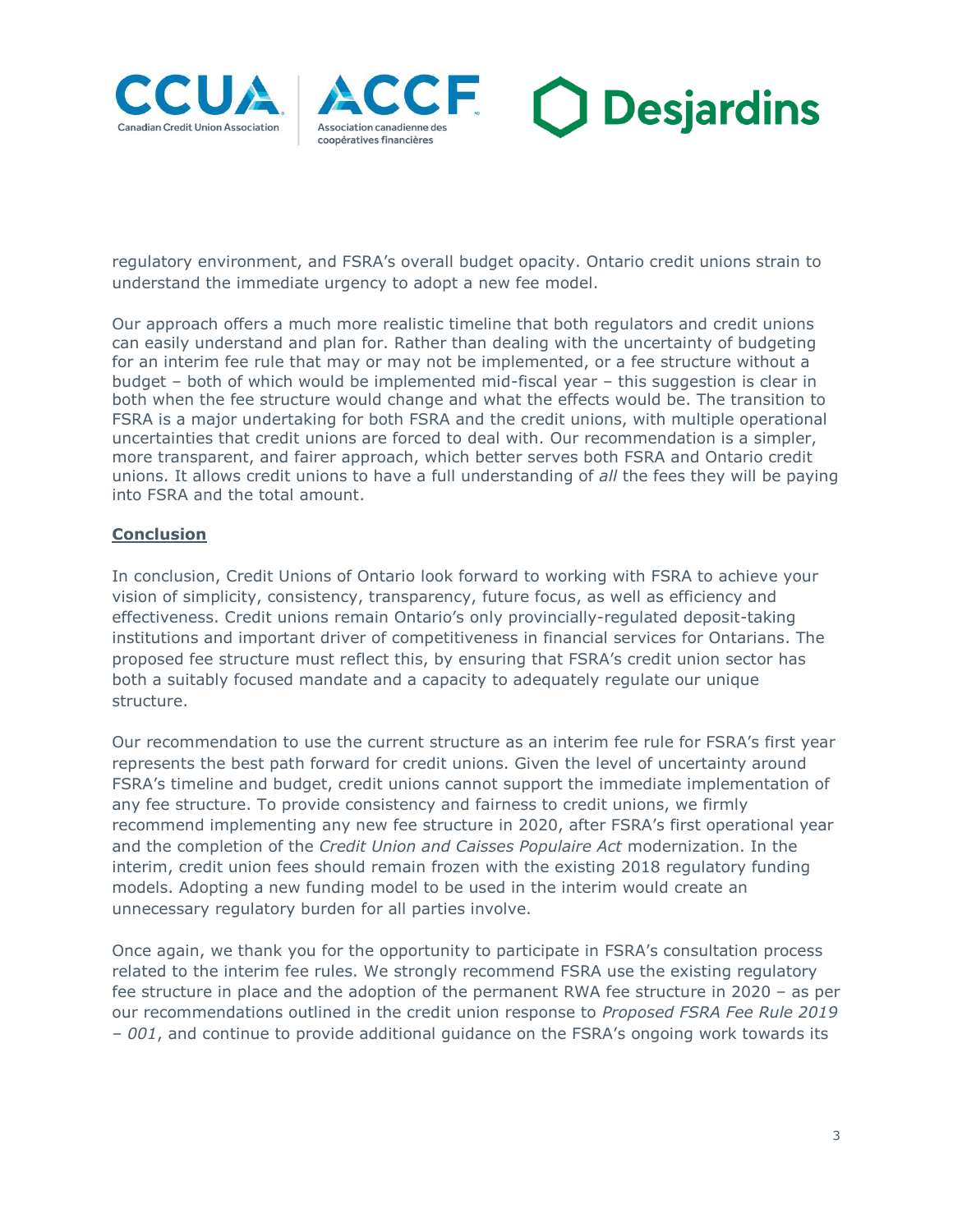





regulatory environment, and FSRA's overall budget opacity. Ontario credit unions strain to understand the immediate urgency to adopt a new fee model.

Our approach offers a much more realistic timeline that both regulators and credit unions can easily understand and plan for. Rather than dealing with the uncertainty of budgeting for an interim fee rule that may or may not be implemented, or a fee structure without a budget – both of which would be implemented mid-fiscal year – this suggestion is clear in both when the fee structure would change and what the effects would be. The transition to FSRA is a major undertaking for both FSRA and the credit unions, with multiple operational uncertainties that credit unions are forced to deal with. Our recommendation is a simpler, more transparent, and fairer approach, which better serves both FSRA and Ontario credit unions. It allows credit unions to have a full understanding of *all* the fees they will be paying into FSRA and the total amount.

## **Conclusion**

In conclusion, Credit Unions of Ontario look forward to working with FSRA to achieve your vision of simplicity, consistency, transparency, future focus, as well as efficiency and effectiveness. Credit unions remain Ontario's only provincially-regulated deposit-taking institutions and important driver of competitiveness in financial services for Ontarians. The proposed fee structure must reflect this, by ensuring that FSRA's credit union sector has both a suitably focused mandate and a capacity to adequately regulate our unique structure.

Our recommendation to use the current structure as an interim fee rule for FSRA's first year represents the best path forward for credit unions. Given the level of uncertainty around FSRA's timeline and budget, credit unions cannot support the immediate implementation of any fee structure. To provide consistency and fairness to credit unions, we firmly recommend implementing any new fee structure in 2020, after FSRA's first operational year and the completion of the *Credit Union and Caisses Populaire Act* modernization. In the interim, credit union fees should remain frozen with the existing 2018 regulatory funding models. Adopting a new funding model to be used in the interim would create an unnecessary regulatory burden for all parties involve.

Once again, we thank you for the opportunity to participate in FSRA's consultation process related to the interim fee rules. We strongly recommend FSRA use the existing regulatory fee structure in place and the adoption of the permanent RWA fee structure in 2020 – as per our recommendations outlined in the credit union response to *Proposed FSRA Fee Rule 2019 – 001*, and continue to provide additional guidance on the FSRA's ongoing work towards its